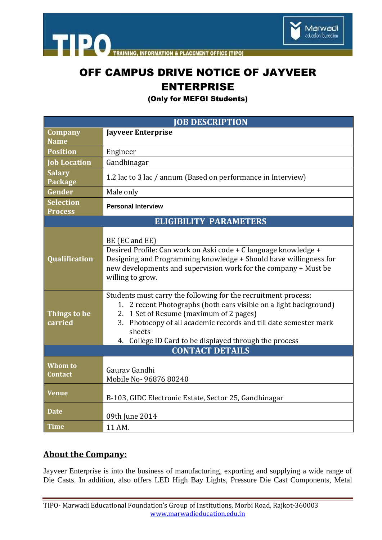



## OFF CAMPUS DRIVE NOTICE OF JAYVEER ENTERPRISE

(Only for MEFGI Students)

| <b>JOB DESCRIPTION</b>             |                                                                                                                                                                                                                                                                                                                        |
|------------------------------------|------------------------------------------------------------------------------------------------------------------------------------------------------------------------------------------------------------------------------------------------------------------------------------------------------------------------|
| <b>Company</b>                     | <b>Jayveer Enterprise</b>                                                                                                                                                                                                                                                                                              |
| <b>Name</b><br><b>Position</b>     |                                                                                                                                                                                                                                                                                                                        |
|                                    | Engineer                                                                                                                                                                                                                                                                                                               |
| <b>Job Location</b>                | Gandhinagar                                                                                                                                                                                                                                                                                                            |
| <b>Salary</b><br>Package           | 1.2 lac to 3 lac / annum (Based on performance in Interview)                                                                                                                                                                                                                                                           |
| Gender                             | Male only                                                                                                                                                                                                                                                                                                              |
| <b>Selection</b><br><b>Process</b> | <b>Personal Interview</b>                                                                                                                                                                                                                                                                                              |
| <b>ELIGIBILITY PARAMETERS</b>      |                                                                                                                                                                                                                                                                                                                        |
|                                    | BE (EC and EE)                                                                                                                                                                                                                                                                                                         |
| <b>Qualification</b>               | Desired Profile: Can work on Aski code + C language knowledge +<br>Designing and Programming knowledge + Should have willingness for<br>new developments and supervision work for the company + Must be<br>willing to grow.                                                                                            |
| Things to be<br>carried            | Students must carry the following for the recruitment process:<br>1. 2 recent Photographs (both ears visible on a light background)<br>2. 1 Set of Resume (maximum of 2 pages)<br>3. Photocopy of all academic records and till date semester mark<br>sheets<br>4. College ID Card to be displayed through the process |
| <b>CONTACT DETAILS</b>             |                                                                                                                                                                                                                                                                                                                        |
| <b>Whom to</b><br>Contact          | Gauray Gandhi<br>Mobile No- 96876 80240                                                                                                                                                                                                                                                                                |
| <b>Venue</b>                       | B-103, GIDC Electronic Estate, Sector 25, Gandhinagar                                                                                                                                                                                                                                                                  |
| <b>Date</b>                        | 09th June 2014                                                                                                                                                                                                                                                                                                         |
| <b>Time</b>                        | 11 AM.                                                                                                                                                                                                                                                                                                                 |

### **About the Company:**

Jayveer Enterprise is into the business of manufacturing, exporting and supplying a wide range of Die Casts. In addition, also offers LED High Bay Lights, Pressure Die Cast Components, Metal